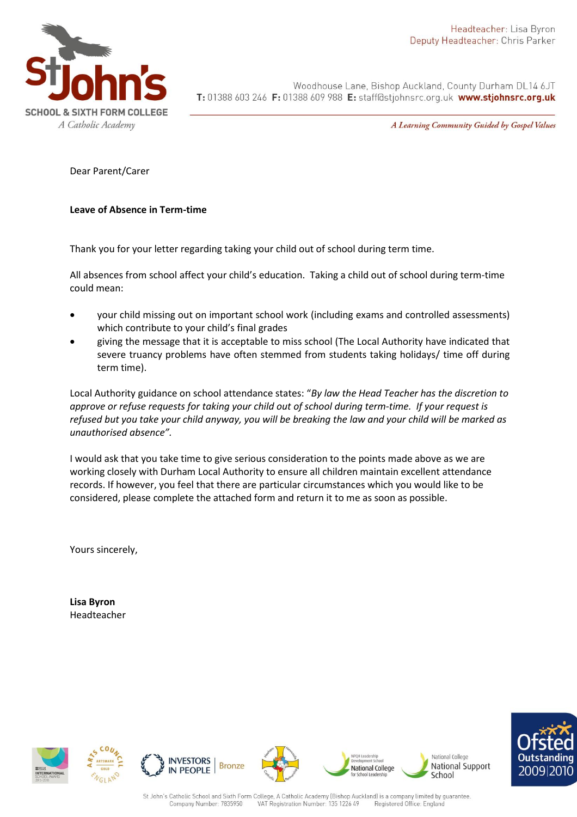

Woodhouse Lane, Bishop Auckland, County Durham DL14 6JT T: 01388 603 246 F: 01388 609 988 E: staff@stjohnsrc.org.uk www.stjohnsrc.org.uk

A Learning Community Guided by Gospel Values

Dear Parent/Carer

## **Leave of Absence in Term-time**

Thank you for your letter regarding taking your child out of school during term time.

All absences from school affect your child's education. Taking a child out of school during term-time could mean:

- your child missing out on important school work (including exams and controlled assessments) which contribute to your child's final grades
- giving the message that it is acceptable to miss school (The Local Authority have indicated that severe truancy problems have often stemmed from students taking holidays/ time off during term time).

Local Authority guidance on school attendance states: "*By law the Head Teacher has the discretion to approve or refuse requests for taking your child out of school during term-time. If your request is refused but you take your child anyway, you will be breaking the law and your child will be marked as unauthorised absence".*

I would ask that you take time to give serious consideration to the points made above as we are working closely with Durham Local Authority to ensure all children maintain excellent attendance records. If however, you feel that there are particular circumstances which you would like to be considered, please complete the attached form and return it to me as soon as possible.

Yours sincerely,

**Lisa Byron** Headteacher













National College

School

National Support